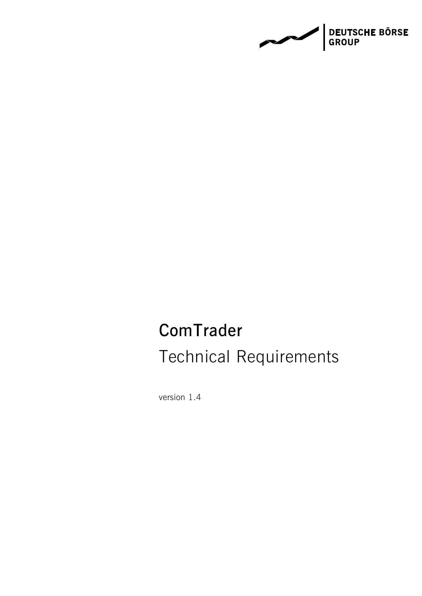**DEUTSCHE BÖRSE<br>GROUP**  $\sim$ 

# **ComTrader** Technical Requirements

version 1.4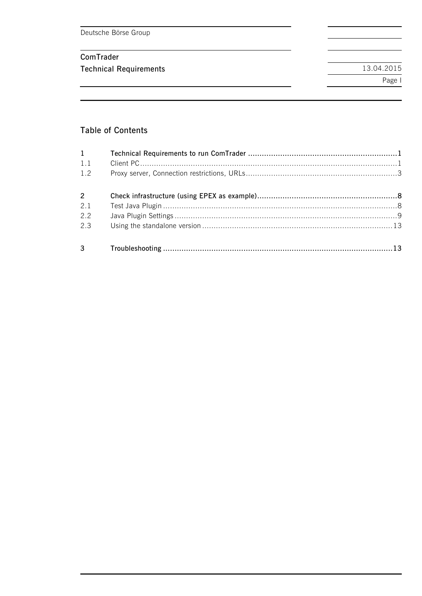Deutsche Börse Group

# ComTrader

**Technical Requirements** 

# **Table of Contents**

| $1 \qquad \qquad$ |  |
|-------------------|--|
| 1.1               |  |
| 1.2               |  |
| $2^{\sim}$        |  |
| 2.1               |  |
| 2.2               |  |
| 2.3               |  |
|                   |  |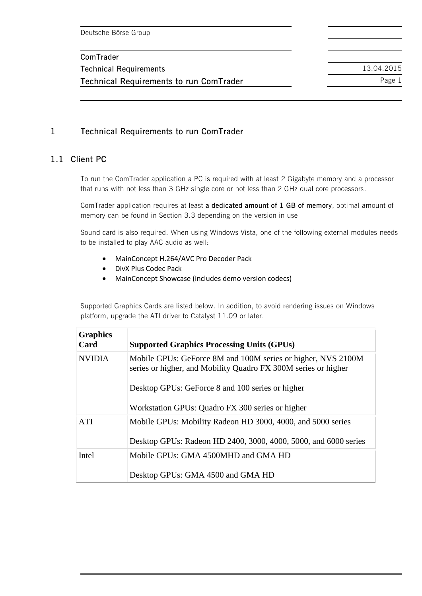**Technical Requirements** 13.04.2015 **Technical Requirements to run ComTrader** Page 1

# **1 Technical Requirements to run ComTrader**

#### **1.1 Client PC**

To run the ComTrader application a PC is required with at least 2 Gigabyte memory and a processor that runs with not less than 3 GHz single core or not less than 2 GHz dual core processors.

ComTrader application requires at least **a dedicated amount of 1 GB of memory**, optimal amount of memory can be found in Section 3.3 depending on the version in use

Sound card is also required. When using Windows Vista, one of the following external modules needs to be installed to play AAC audio as well:

- MainConcept H.264/AVC Pro Decoder Pack
- DivX Plus Codec Pack
- MainConcept Showcase (includes demo version codecs)

Supported Graphics Cards are listed below. In addition, to avoid rendering issues on Windows platform, upgrade the ATI driver to Catalyst 11.09 or later.

| <b>Graphics</b><br>Card | <b>Supported Graphics Processing Units (GPUs)</b>                                                                              |  |
|-------------------------|--------------------------------------------------------------------------------------------------------------------------------|--|
| <b>NVIDIA</b>           | Mobile GPUs: GeForce 8M and 100M series or higher, NVS 2100M<br>series or higher, and Mobility Quadro FX 300M series or higher |  |
|                         | Desktop GPUs: GeForce 8 and 100 series or higher                                                                               |  |
|                         | Workstation GPUs: Quadro FX 300 series or higher                                                                               |  |
| <b>ATI</b>              | Mobile GPUs: Mobility Radeon HD 3000, 4000, and 5000 series                                                                    |  |
|                         | Desktop GPUs: Radeon HD 2400, 3000, 4000, 5000, and 6000 series                                                                |  |
| Intel                   | Mobile GPUs: GMA 4500MHD and GMA HD                                                                                            |  |
|                         | Desktop GPUs: GMA 4500 and GMA HD                                                                                              |  |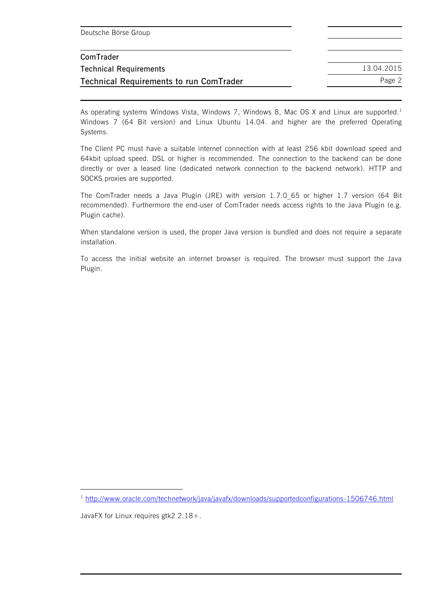| Deutsche Börse Group                           |            |
|------------------------------------------------|------------|
| ComTrader                                      |            |
| <b>Technical Requirements</b>                  | 13.04.2015 |
| <b>Technical Requirements to run ComTrader</b> | Page 2     |

As operating systems Windows Vista, Windows 7, Windows 8, Mac OS X and Linux are supported.<sup>1</sup> Windows 7 (64 Bit version) and Linux Ubuntu 14.04. and higher are the preferred Operating Systems.

The Client PC must have a suitable internet connection with at least 256 kbit download speed and 64kbit upload speed. DSL or higher is recommended. The connection to the backend can be done directly or over a leased line (dedicated network connection to the backend network). HTTP and SOCKS proxies are supported.

The ComTrader needs a Java Plugin (JRE) with version 1.7.0 65 or higher 1.7 version (64 Bit recommended). Furthermore the end-user of ComTrader needs access rights to the Java Plugin (e.g. Plugin cache).

When standalone version is used, the proper Java version is bundled and does not require a separate installation.

To access the initial website an internet browser is required. The browser must support the Java Plugin.

<sup>&</sup>lt;sup>1</sup> <http://www.oracle.com/technetwork/java/javafx/downloads/supportedconfigurations-1506746.html>

JavaFX for Linux requires gtk2 2.18+.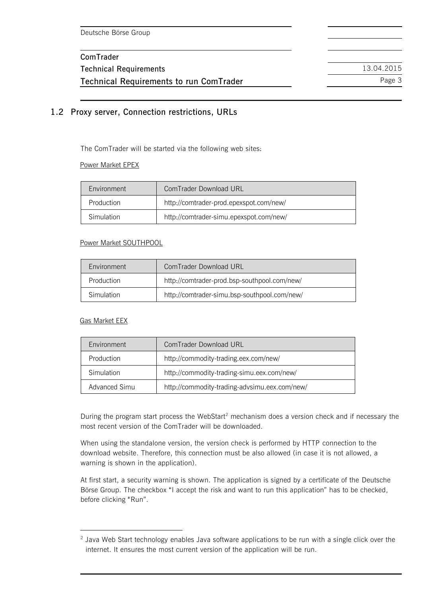**Technical Requirements** 13.04.2015 **Technical Requirements to run ComTrader** Page 3

## <span id="page-4-0"></span>**1.2 Proxy server, Connection restrictions, URLs**

The ComTrader will be started via the following web sites:

#### Power Market EPEX

| <b>Fnvironment</b> | ComTrader Download URL                  |
|--------------------|-----------------------------------------|
| Production         | http://comtrader-prod.epexspot.com/new/ |
| Simulation         | http://comtrader-simu.epexspot.com/new/ |

#### Power Market SOUTHPOOL

| Environment | ComTrader Download URI                       |  |
|-------------|----------------------------------------------|--|
| Production  | http://comtrader-prod.bsp-southpool.com/new/ |  |
| Simulation  | http://comtrader-simu.bsp-southpool.com/new/ |  |

#### Gas Market EEX

 $\overline{a}$ 

| Environment   | ComTrader Download URL                        |  |
|---------------|-----------------------------------------------|--|
| Production    | http://commodity-trading.eex.com/new/         |  |
| Simulation    | http://commodity-trading-simu.eex.com/new/    |  |
| Advanced Simu | http://commodity-trading-advsimu.eex.com/new/ |  |

During the program start process the WebStart<sup>2</sup> mechanism does a version check and if necessary the most recent version of the ComTrader will be downloaded.

When using the standalone version, the version check is performed by HTTP connection to the download website. Therefore, this connection must be also allowed (in case it is not allowed, a warning is shown in the application).

At first start, a security warning is shown. The application is signed by a certificate of the Deutsche Börse Group. The checkbox "I accept the risk and want to run this application" has to be checked, before clicking "Run".

 $2$  Java Web Start technology enables Java software applications to be run with a single click over the internet. It ensures the most current version of the application will be run.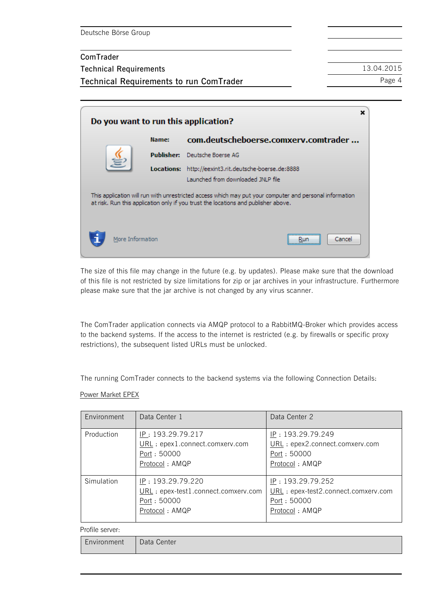**Technical Requirements** 13.04.2015

**Technical Requirements to run ComTrader** Page 4

| Do you want to run this application?                                                                                                                                                          |                  |            |                                                                                                    |
|-----------------------------------------------------------------------------------------------------------------------------------------------------------------------------------------------|------------------|------------|----------------------------------------------------------------------------------------------------|
|                                                                                                                                                                                               |                  | Name:      | com.deutscheboerse.comxerv.comtrader                                                               |
|                                                                                                                                                                                               |                  | Publisher: | Deutsche Boerse AG                                                                                 |
|                                                                                                                                                                                               |                  |            | <b>Locations:</b> http://eexint3.rit.deutsche-boerse.de:8888<br>Launched from downloaded JNLP file |
| This application will run with unrestricted access which may put your computer and personal information<br>at risk. Run this application only if you trust the locations and publisher above. |                  |            |                                                                                                    |
|                                                                                                                                                                                               | More Information |            | Cancel                                                                                             |

The size of this file may change in the future (e.g. by updates). Please make sure that the download of this file is not restricted by size limitations for zip or jar archives in your infrastructure. Furthermore please make sure that the jar archive is not changed by any virus scanner.

The ComTrader application connects via AMQP protocol to a RabbitMQ-Broker which provides access to the backend systems. If the access to the internet is restricted (e.g. by firewalls or specific proxy restrictions), the subsequent listed URLs must be unlocked.

The running ComTrader connects to the backend systems via the following Connection Details:

#### Power Market EPEX

| Environment | Data Center 1                                                                             | Data Center 2                                                                             |
|-------------|-------------------------------------------------------------------------------------------|-------------------------------------------------------------------------------------------|
| Production  | IP: 193.29.79.217<br>URL: epex1.connect.comxerv.com<br>Port: 50000<br>Protocol: AMQP      | IP: 193.29.79.249<br>URL: epex2.connect.comxerv.com<br>Port: 50000<br>Protocol: AMQP      |
| Simulation  | IP: 193.29.79.220<br>URL: epex-test1.connect.comxerv.com<br>Port: 50000<br>Protocol: AMQP | IP: 193.29.79.252<br>URL: epex-test2.connect.comxerv.com<br>Port: 50000<br>Protocol: AMQP |

#### Profile server:

| $\overline{\phantom{0}}$<br>:nvironment | Data Center |
|-----------------------------------------|-------------|
|-----------------------------------------|-------------|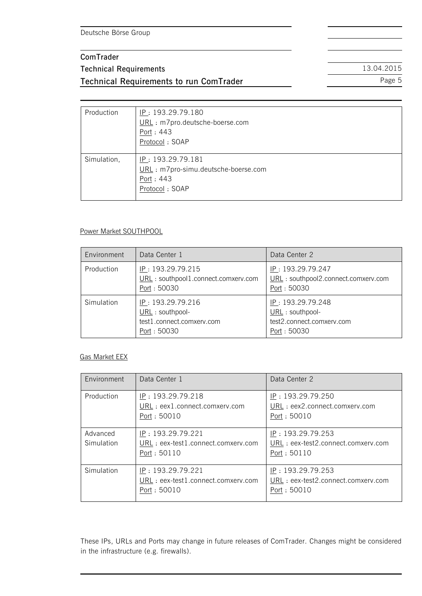# **ComTrader Technical Requirements** 13.04.2015 **Technical Requirements to run ComTrader** Page 5

Production <u>IP</u>: 193.29.79.180 URL : m7pro.deutsche-boerse.com Port : 443 Protocol : SOAP Simulation, <u>IP</u>: 193.29.79.181 URL : m7pro-simu.deutsche-boerse.com Port : 443 Protocol : SOAP

#### Power Market SOUTHPOOL

| Environment | Data Center 1                                                                     | Data Center 2                                                                     |
|-------------|-----------------------------------------------------------------------------------|-----------------------------------------------------------------------------------|
| Production  | IP: 193.29.79.215<br>URL: southpool1.connect.comxerv.com<br>Port : 50030          | IP: 193.29.79.247<br>URL: southpool2.connect.comxerv.com<br>Port : 50030          |
| Simulation  | IP: 193.29.79.216<br>URL : southpool-<br>test1.connect.comxerv.com<br>Port: 50030 | IP: 193.29.79.248<br>URL : southpool-<br>test2.connect.comxerv.com<br>Port: 50030 |

#### Gas Market EEX

| Environment            | Data Center 1                                                           | Data Center 2                                                           |
|------------------------|-------------------------------------------------------------------------|-------------------------------------------------------------------------|
| Production             | IP: 193.29.79.218<br>URL : eex1.connect.comxerv.com<br>Port: 50010      | IP: 193.29.79.250<br>URL : eex2.connect.comxerv.com<br>Port: 50010      |
| Advanced<br>Simulation | IP: 193.29.79.221<br>URL : eex-test1.connect.comxerv.com<br>Port: 50110 | IP: 193.29.79.253<br>URL : eex-test2.connect.comxerv.com<br>Port: 50110 |
| Simulation             | IP: 193.29.79.221<br>URL : eex-test1.connect.comxerv.com<br>Port: 50010 | IP: 193.29.79.253<br>URL : eex-test2.connect.comxerv.com<br>Port: 50010 |

These IPs, URLs and Ports may change in future releases of ComTrader. Changes might be considered in the infrastructure (e.g. firewalls).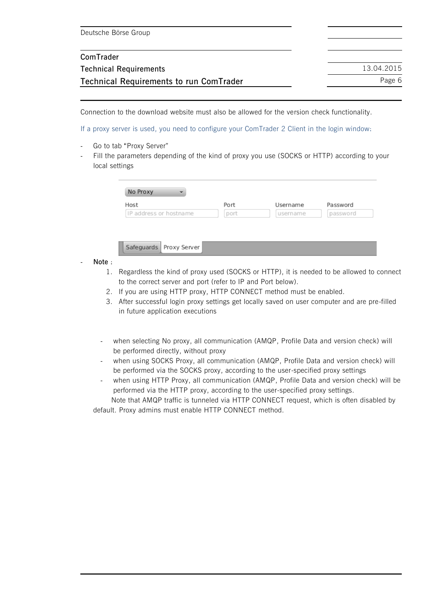| Deutsche Börse Group                           |            |
|------------------------------------------------|------------|
|                                                |            |
| ComTrader                                      |            |
| <b>Technical Requirements</b>                  | 13.04.2015 |
| <b>Technical Requirements to run ComTrader</b> | Page 6     |

Connection to the download website must also be allowed for the version check functionality.

If a proxy server is used, you need to configure your ComTrader 2 Client in the login window:

- Go to tab "Proxy Server"
- Fill the parameters depending of the kind of proxy you use (SOCKS or HTTP) according to your local settings

| Host                   | Port | Username | Password |
|------------------------|------|----------|----------|
| IP address or hostname | port | username | password |

Safeguards Proxy Server

- **Note** :
	- 1. Regardless the kind of proxy used (SOCKS or HTTP), it is needed to be allowed to connect to the correct server and port (refer to IP and Port below).
	- 2. If you are using HTTP proxy, HTTP CONNECT method must be enabled.
	- 3. After successful login proxy settings get locally saved on user computer and are pre-filled in future application executions
	- when selecting No proxy, all communication (AMQP, Profile Data and version check) will be performed directly, without proxy
	- when using SOCKS Proxy, all communication (AMQP, Profile Data and version check) will be performed via the SOCKS proxy, according to the user-specified proxy settings
	- when using HTTP Proxy, all communication (AMQP, Profile Data and version check) will be performed via the HTTP proxy, according to the user-specified proxy settings.

Note that AMQP traffic is tunneled via HTTP CONNECT request, which is often disabled by default. Proxy admins must enable HTTP CONNECT method.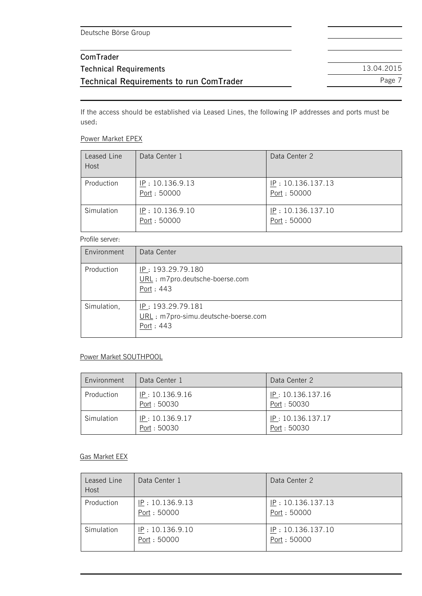If the access should be established via Leased Lines, the following IP addresses and ports must be used:

#### Power Market EPEX

| Leased Line<br>Host | Data Center 1                  | Data Center 2                    |
|---------------------|--------------------------------|----------------------------------|
| Production          | IP: 10.136.9.13<br>Port: 50000 | IP: 10.136.137.13<br>Port: 50000 |
| Simulation          | IP: 10.136.9.10<br>Port: 50000 | IP: 10.136.137.10<br>Port: 50000 |

#### Profile server:

| Environment | Data Center                                                           |
|-------------|-----------------------------------------------------------------------|
| Production  | IP: 193.29.79.180<br>URL: m7pro.deutsche-boerse.com<br>Port: 443      |
| Simulation, | IP: 193.29.79.181<br>URL: m7pro-simu.deutsche-boerse.com<br>Port: 443 |

#### Power Market SOUTHPOOL

| Environment | Data Center 1                  | Data Center 2                    |
|-------------|--------------------------------|----------------------------------|
| Production  | IP: 10.136.9.16<br>Port: 50030 | IP: 10.136.137.16<br>Port: 50030 |
| Simulation  | IP: 10.136.9.17<br>Port: 50030 | IP: 10.136.137.17<br>Port: 50030 |

#### Gas Market EEX

| Leased Line<br>Host | Data Center 1                  | Data Center 2                    |
|---------------------|--------------------------------|----------------------------------|
| Production          | IP: 10.136.9.13<br>Port: 50000 | IP: 10.136.137.13<br>Port: 50000 |
| Simulation          | IP: 10.136.9.10<br>Port: 50000 | IP: 10.136.137.10<br>Port: 50000 |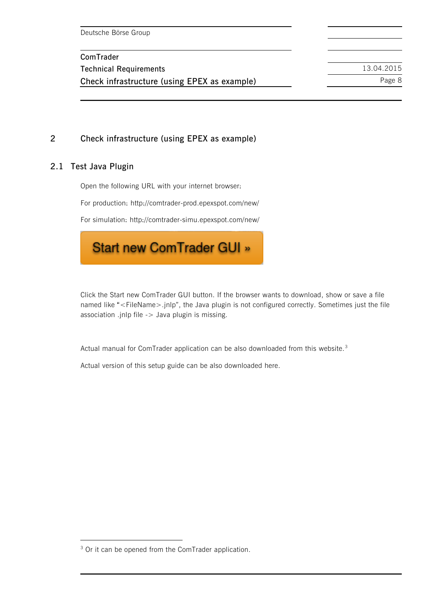**Technical Requirements** 13.04.2015 **Check infrastructure (using EPEX as example)** Page 8

# **2 Check infrastructure (using EPEX as example)**

#### **2.1 Test Java Plugin**

ı

Open the following URL with your internet browser:

For production: http://comtrader-prod.epexspot.com/new/

For simulation:<http://comtrader-simu.epexspot.com/new/>



Click the Start new ComTrader GUI button. If the browser wants to download, show or save a file named like "<FileName>.jnlp", the Java plugin is not configured correctly. Sometimes just the file association .jnlp file -> Java plugin is missing.

Actual manual for ComTrader application can be also downloaded from this website.<sup>3</sup>

<span id="page-9-0"></span>Actual version of this setup guide can be also downloaded here.

<sup>&</sup>lt;sup>3</sup> Or it can be opened from the ComTrader application.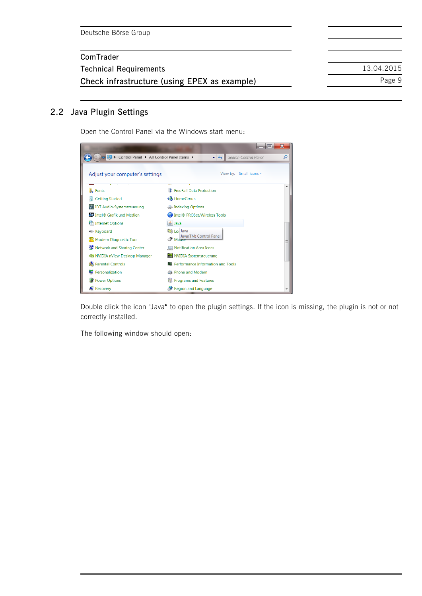| ComTrader                                    |            |
|----------------------------------------------|------------|
| <b>Technical Requirements</b>                | 13.04.2015 |
| Check infrastructure (using EPEX as example) | Page 9     |

#### **2.2 Java Plugin Settings**

Open the Control Panel via the Windows start menu:



Double click the icon "Java" to open the plugin settings. If the icon is missing, the plugin is not or not correctly installed.

The following window should open: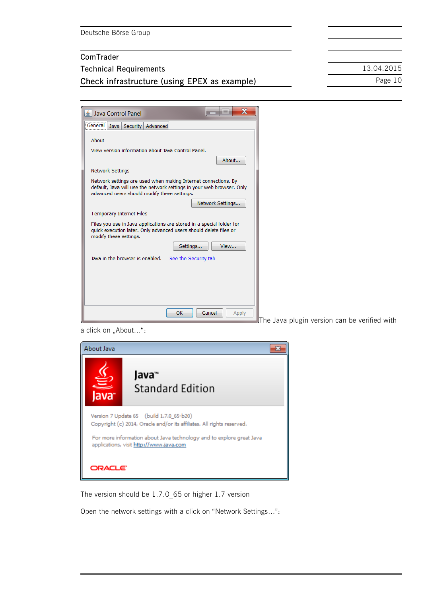| Deutsche Börse Group |
|----------------------|
|                      |

| ComTrader                                    |            |
|----------------------------------------------|------------|
| <b>Technical Requirements</b>                | 13.04.2015 |
| Check infrastructure (using EPEX as example) | Page 10    |

The Java plugin version can be verified with



a click on "About...":



The version should be 1.7.0\_65 or higher 1.7 version

Open the network settings with a click on "Network Settings…":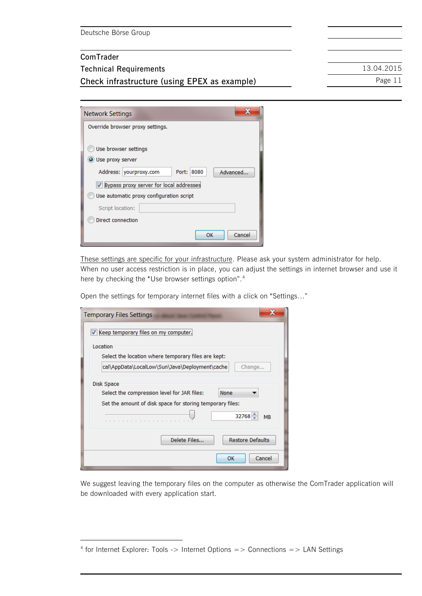ı

**Check infrastructure (using EPEX as example)** Page 11

**Technical Requirements** 13.04.2015

| <b>Network Settings</b>                             |  |  |
|-----------------------------------------------------|--|--|
| Override browser proxy settings.                    |  |  |
|                                                     |  |  |
| Use browser settings                                |  |  |
| O Use proxy server                                  |  |  |
| Address: yourproxy.com<br>8080<br>Advanced<br>Port: |  |  |
| V Bypass proxy server for local addresses           |  |  |
| Use automatic proxy configuration script            |  |  |
| Script location:                                    |  |  |
| Direct connection                                   |  |  |
| Cancel<br>ок                                        |  |  |

These settings are specific for your infrastructure. Please ask your system administrator for help. When no user access restriction is in place, you can adjust the settings in internet browser and use it here by checking the "Use browser settings option".<sup>4</sup>

Open the settings for temporary internet files with a click on "Settings…"

| <b>Temporary Files Settings</b>                           |
|-----------------------------------------------------------|
| Keep temporary files on my computer.                      |
| Location                                                  |
| Select the location where temporary files are kept:       |
| cal\AppData\LocalLow\Sun\Java\Deployment\cache<br>Change  |
| Disk Space                                                |
| Select the compression level for JAR files:<br>None       |
| Set the amount of disk space for storing temporary files: |
| $32768 -$<br><b>MB</b>                                    |
| Delete Files<br><b>Restore Defaults</b>                   |
| Cancel<br>OK                                              |

We suggest leaving the temporary files on the computer as otherwise the ComTrader application will be downloaded with every application start.

<sup>&</sup>lt;sup>4</sup> for Internet Explorer: Tools -> Internet Options => Connections => LAN Settings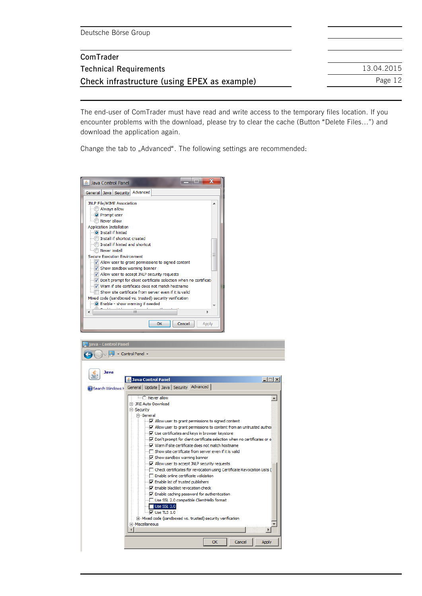| Deutsche Börse Group                         |            |
|----------------------------------------------|------------|
| ComTrader                                    |            |
| <b>Technical Requirements</b>                | 13.04.2015 |
| Check infrastructure (using EPEX as example) | Page 12    |

The end-user of ComTrader must have read and write access to the temporary files location. If you encounter problems with the download, please try to clear the cache (Button "Delete Files…") and download the application again.

Change the tab to "Advanced". The following settings are recommended:

| <b>Java Control Panel</b>                                                                                                 |  |  |
|---------------------------------------------------------------------------------------------------------------------------|--|--|
| General   Java   Security   Advanced                                                                                      |  |  |
| <b>JNLP File/MIME Association</b>                                                                                         |  |  |
| Always allow                                                                                                              |  |  |
| O Prompt user                                                                                                             |  |  |
| Never allow                                                                                                               |  |  |
| <b>Application Installation</b>                                                                                           |  |  |
| <b>O</b> Install if hinted                                                                                                |  |  |
| Install if shortcut created                                                                                               |  |  |
| Install if hinted and shortcut                                                                                            |  |  |
| Never install                                                                                                             |  |  |
| <b>Secure Execution Environment</b>                                                                                       |  |  |
| √ Allow user to grant permissions to signed content                                                                       |  |  |
| V Show sandbox warning banner                                                                                             |  |  |
| V Allow user to accept JNLP security requests                                                                             |  |  |
| √ Don't prompt for client certificate selection when no certificate<br>V Warn if site certificate does not match hostname |  |  |
| Show site certificate from server even if it is valid                                                                     |  |  |
| Mixed code (sandboxed vs. trusted) security verification                                                                  |  |  |
| O Enable - show warning if needed                                                                                         |  |  |
| ш                                                                                                                         |  |  |
|                                                                                                                           |  |  |
| Cancel<br>OK<br>Apply                                                                                                     |  |  |

| java - Control Panel                                                                                                                                                                                                                                                                                                                                                                                                                                                                                                                                                                                                                                                                                                                                                                                                                                                                                                                                                                        |  |  |  |
|---------------------------------------------------------------------------------------------------------------------------------------------------------------------------------------------------------------------------------------------------------------------------------------------------------------------------------------------------------------------------------------------------------------------------------------------------------------------------------------------------------------------------------------------------------------------------------------------------------------------------------------------------------------------------------------------------------------------------------------------------------------------------------------------------------------------------------------------------------------------------------------------------------------------------------------------------------------------------------------------|--|--|--|
| - Control Panel -                                                                                                                                                                                                                                                                                                                                                                                                                                                                                                                                                                                                                                                                                                                                                                                                                                                                                                                                                                           |  |  |  |
| Java<br>$ \Box$ $\times$<br><b>4</b> Java Control Panel<br>Search Windows   General   Update   Java   Security   Advanced  <br>$\overline{\bigcirc}$ Never allow<br>Fi-JRE Auto-Download<br>白 Security<br><b>A</b> -General<br>Mallow user to grant permissions to signed content<br>$\Box$ $\Box$ Allow user to grant permissions to content from an untrusted author<br><b>I</b> . V Use certificates and keys in browser keystore<br>Don't prompt for client certificate selection when no certificates or o<br>i √ Warn if site certificate does not match hostname<br>$\Box$ Show site certificate from server even if it is valid<br>Show sandbox warning banner<br>$\Box$ $\Box$ Allow user to accept JNLP security requests<br>$\Box$ Check certificates for revocation using Certificate Revocation Lists (<br>□ Enable online certificate validation<br>I V Enable list of trusted publishers<br>Frable blacklist revocation check<br>Finable caching password for authentication |  |  |  |
| Use SSL 2.0 compatible ClientHello format<br>$\blacksquare$ Use SSL 3.0<br>$\overline{\nabla}$ Use TLS 1.0<br>F-Mixed code (sandboxed vs. trusted) security verification<br>Fi-Miscellaneous                                                                                                                                                                                                                                                                                                                                                                                                                                                                                                                                                                                                                                                                                                                                                                                                |  |  |  |
|                                                                                                                                                                                                                                                                                                                                                                                                                                                                                                                                                                                                                                                                                                                                                                                                                                                                                                                                                                                             |  |  |  |
| <b>OK</b><br>Cancel<br>Apply                                                                                                                                                                                                                                                                                                                                                                                                                                                                                                                                                                                                                                                                                                                                                                                                                                                                                                                                                                |  |  |  |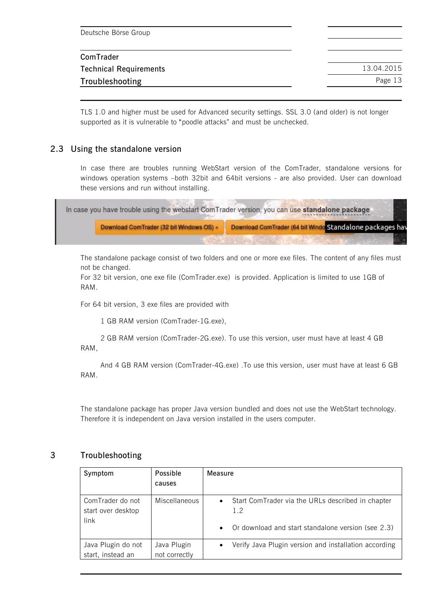| Deutsche Börse Group          |            |
|-------------------------------|------------|
| ComTrader                     |            |
| <b>Technical Requirements</b> | 13.04.2015 |
| Troubleshooting               | Page 13    |
|                               |            |

TLS 1.0 and higher must be used for Advanced security settings. SSL 3.0 (and older) is not longer supported as it is vulnerable to "poodle attacks" and must be unchecked.

## <span id="page-14-0"></span>**2.3 Using the standalone version**

In case there are troubles running WebStart version of the ComTrader, standalone versions for windows operation systems –both 32bit and 64bit versions - are also provided. User can download these versions and run without installing.

| In case you have trouble using the webstart ComTrader version, you can use standalone package |                                                           |  |
|-----------------------------------------------------------------------------------------------|-----------------------------------------------------------|--|
| Download ComTrader (32 bit Windows OS) »                                                      | Download ComTrader (64 bit Windo Standalone packages have |  |
|                                                                                               |                                                           |  |

The standalone package consist of two folders and one or more exe files. The content of any files must not be changed.

For 32 bit version, one exe file (ComTrader.exe) is provided. Application is limited to use 1GB of RAM.

For 64 bit version, 3 exe files are provided with

1 GB RAM version (ComTrader-1G.exe),

2 GB RAM version (ComTrader-2G.exe). To use this version, user must have at least 4 GB RAM,

And 4 GB RAM version (ComTrader-4G.exe) .To use this version, user must have at least 6 GB RAM.

The standalone package has proper Java version bundled and does not use the WebStart technology. Therefore it is independent on Java version installed in the users computer.

#### **3 Troubleshooting**

| Symptom            | Possible      | Measure                                                            |
|--------------------|---------------|--------------------------------------------------------------------|
|                    | causes        |                                                                    |
| ComTrader do not   | Miscellaneous | Start ComTrader via the URLs described in chapter<br>$\bullet$     |
| start over desktop |               | 1.2                                                                |
| link               |               | Or download and start standalone version (see 2.3)<br>$\bullet$    |
| Java Plugin do not | Java Plugin   | Verify Java Plugin version and installation according<br>$\bullet$ |
| start, instead an  | not correctly |                                                                    |